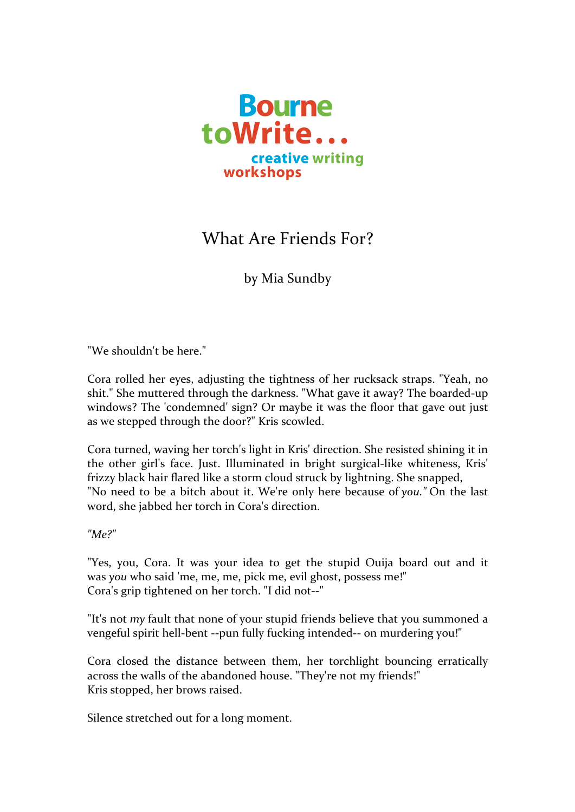

## What Are Friends For?

by Mia Sundby

"We shouldn't be here."

Cora rolled her eyes, adjusting the tightness of her rucksack straps. "Yeah, no shit." She muttered through the darkness. "What gave it away? The boarded-up windows? The 'condemned' sign? Or maybe it was the floor that gave out just as we stepped through the door?" Kris scowled.

Cora turned, waving her torch's light in Kris' direction. She resisted shining it in the other girl's face. Just. Illuminated in bright surgical-like whiteness, Kris' frizzy black hair flared like a storm cloud struck by lightning. She snapped, "No need to be a bitch about it. We're only here because of *you*." On the last word, she jabbed her torch in Cora's direction.

*"Me?"*

"Yes, you, Cora. It was your idea to get the stupid Ouija board out and it was you who said 'me, me, me, pick me, evil ghost, possess me!" Cora's grip tightened on her torch. "I did not--"

"It's not *my* fault that none of your stupid friends believe that you summoned a vengeful spirit hell-bent --pun fully fucking intended-- on murdering you!"

Cora closed the distance between them, her torchlight bouncing erratically across the walls of the abandoned house. "They're not my friends!" Kris stopped, her brows raised.

Silence stretched out for a long moment.